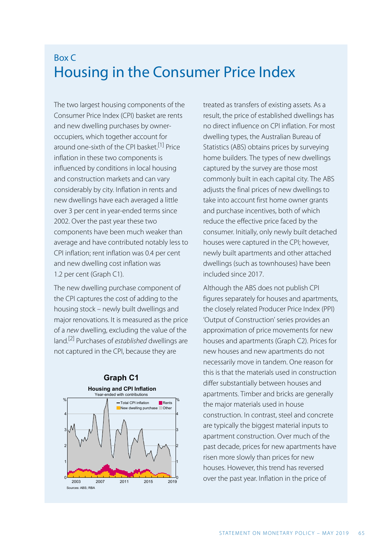## Box C Housing in the Consumer Price Index

The two largest housing components of the Consumer Price Index (CPI) basket are rents and new dwelling purchases by owneroccupiers, which together account for around one-sixth of the CPI basket.<sup>[1]</sup> Price inflation in these two components is influenced by conditions in local housing and construction markets and can vary considerably by city. Inflation in rents and new dwellings have each averaged a little over 3 per cent in year-ended terms since 2002. Over the past year these two components have been much weaker than average and have contributed notably less to CPI inflation; rent inflation was 0.4 per cent and new dwelling cost inflation was 1.2 per cent (Graph C1).

The new dwelling purchase component of the CPI captures the cost of adding to the housing stock – newly built dwellings and major renovations. It is measured as the price of a *new* dwelling, excluding the value of the land. [2] Purchases of *established* dwellings are not captured in the CPI, because they are



treated as transfers of existing assets. As a result, the price of established dwellings has no direct influence on CPI inflation. For most dwelling types, the Australian Bureau of Statistics (ABS) obtains prices by surveying home builders. The types of new dwellings captured by the survey are those most commonly built in each capital city. The ABS adjusts the final prices of new dwellings to take into account first home owner grants and purchase incentives, both of which reduce the effective price faced by the consumer. Initially, only newly built detached houses were captured in the CPI; however, newly built apartments and other attached dwellings (such as townhouses) have been included since 2017.

Although the ABS does not publish CPI figures separately for houses and apartments, the closely related Producer Price Index (PPI) 'Output of Construction' series provides an approximation of price movements for new houses and apartments (Graph C2). Prices for new houses and new apartments do not necessarily move in tandem. One reason for this is that the materials used in construction differ substantially between houses and apartments. Timber and bricks are generally the major materials used in house construction. In contrast, steel and concrete are typically the biggest material inputs to apartment construction. Over much of the past decade, prices for new apartments have risen more slowly than prices for new houses. However, this trend has reversed over the past year. Inflation in the price of